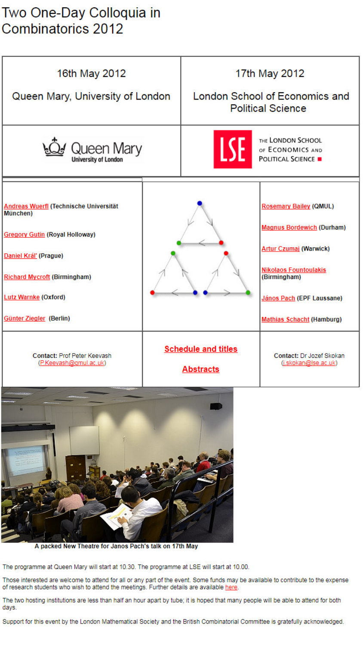# Two One-Day Colloquia in **Combinatorics 2012**

| 16th May 2012<br>Queen Mary, University of London                                                                                                                                                                    |  | 17th May 2012<br>London School of Economics and<br><b>Political Science</b> |                                                                                                                                                                                                                     |
|----------------------------------------------------------------------------------------------------------------------------------------------------------------------------------------------------------------------|--|-----------------------------------------------------------------------------|---------------------------------------------------------------------------------------------------------------------------------------------------------------------------------------------------------------------|
| Queen Mary                                                                                                                                                                                                           |  | <u>ISE</u>                                                                  | THE LONDON SCHOOL<br>OF ECONOMICS AND<br><b>POLITICAL SCIENCE .</b>                                                                                                                                                 |
| Andreas Wuerfl (Technische Universität<br>München)<br><b>Gregory Gutin (Royal Holloway)</b><br>Daniel Kráľ (Prague)<br><b>Richard Mycroft (Birmingham)</b><br><b>Lutz Warnke (Oxford)</b><br>Günter Ziegler (Berlin) |  |                                                                             | <b>Rosemary Bailey (QMUL)</b><br><b>Magnus Bordewich (Durham)</b><br><b>Artur Czumaj (Warwick)</b><br><b>Nikolaos Fountoulakis</b><br>(Birmingham)<br>János Pach (EPF Laussane)<br><b>Mathias Schacht (Hamburg)</b> |
| <b>Contact: Prof Peter Keevash</b><br>(P.Keevash@gmul.ac.uk)                                                                                                                                                         |  | <b>Schedule and titles</b><br><b>Abstracts</b>                              | Contact: Dr Jozef Skokan<br>(j.skokan@lse.ac.uk)                                                                                                                                                                    |



A packed New Theatre for Janos Pach's talk on 17th May

The programme at Queen Mary will start at 10.30. The programme at LSE will start at 10.00.

Those interested are welcome to attend for all or any part of the event. Some funds may be available to contribute to the expense of research students who wish to attend the meetings. Further details are available here.

The two hosting institutions are less than half an hour apart by tube; it is hoped that many people will be able to attend for both days.

Support for this event by the London Mathematical Society and the British Combinatorial Committee is gratefully acknowledged.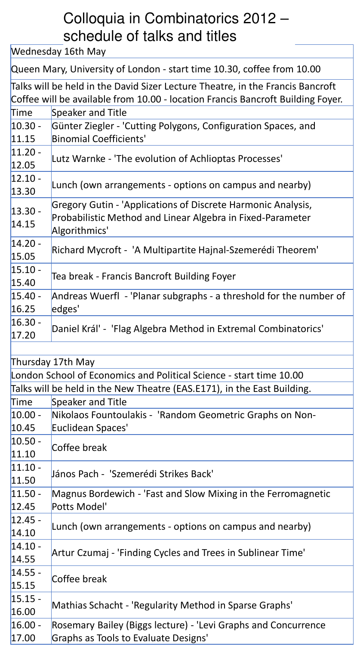# Colloquia in Combinatorics 2012 – schedule of talks and titles

Wednesday 16th May

Queen Mary, University of London - start time 10.30, coffee from 10.00

|                    | Talks will be held in the David Sizer Lecture Theatre, in the Francis Bancroft<br>Coffee will be available from 10.00 - location Francis Bancroft Building Foyer. |
|--------------------|-------------------------------------------------------------------------------------------------------------------------------------------------------------------|
| <b>Time</b>        | Speaker and Title                                                                                                                                                 |
| $10.30 -$<br>11.15 | Günter Ziegler - 'Cutting Polygons, Configuration Spaces, and<br><b>Binomial Coefficients'</b>                                                                    |
| $11.20 -$<br>12.05 | Lutz Warnke - 'The evolution of Achlioptas Processes'                                                                                                             |
| $12.10 -$<br>13.30 | Lunch (own arrangements - options on campus and nearby)                                                                                                           |
| $13.30 -$<br>14.15 | Gregory Gutin - 'Applications of Discrete Harmonic Analysis,<br>Probabilistic Method and Linear Algebra in Fixed-Parameter<br>Algorithmics'                       |
| $14.20 -$<br>15.05 | Richard Mycroft - 'A Multipartite Hajnal-Szemerédi Theorem'                                                                                                       |
| $15.10 -$<br>15.40 | Tea break - Francis Bancroft Building Foyer                                                                                                                       |
| $15.40 -$<br>16.25 | Andreas Wuerfl - 'Planar subgraphs - a threshold for the number of<br>edges'                                                                                      |
| $16.30 -$<br>17.20 | Daniel Král' - 'Flag Algebra Method in Extremal Combinatorics'                                                                                                    |
|                    |                                                                                                                                                                   |

| Thursday 17th May                                                       |                                                                |  |  |
|-------------------------------------------------------------------------|----------------------------------------------------------------|--|--|
| London School of Economics and Political Science - start time 10.00     |                                                                |  |  |
| Talks will be held in the New Theatre (EAS.E171), in the East Building. |                                                                |  |  |
| <b>Time</b>                                                             | Speaker and Title                                              |  |  |
| $10.00 -$                                                               | Nikolaos Fountoulakis - 'Random Geometric Graphs on Non-       |  |  |
| 10.45                                                                   | Euclidean Spaces'                                              |  |  |
| $10.50 -$                                                               | Coffee break                                                   |  |  |
| 11.10                                                                   |                                                                |  |  |
| $11.10 -$                                                               | János Pach - 'Szemerédi Strikes Back'                          |  |  |
| 11.50                                                                   |                                                                |  |  |
| $11.50 -$                                                               | Magnus Bordewich - 'Fast and Slow Mixing in the Ferromagnetic  |  |  |
| 12.45                                                                   | Potts Model'                                                   |  |  |
| $12.45 -$                                                               | Lunch (own arrangements - options on campus and nearby)        |  |  |
| 14.10                                                                   |                                                                |  |  |
| $14.10 -$                                                               | Artur Czumaj - 'Finding Cycles and Trees in Sublinear Time'    |  |  |
| 14.55                                                                   |                                                                |  |  |
| $14.55 -$                                                               | Coffee break                                                   |  |  |
| 15.15                                                                   |                                                                |  |  |
| $15.15 -$                                                               |                                                                |  |  |
| 16.00                                                                   | Mathias Schacht - 'Regularity Method in Sparse Graphs'         |  |  |
| $16.00 -$                                                               | Rosemary Bailey (Biggs lecture) - 'Levi Graphs and Concurrence |  |  |
| 17.00                                                                   | Graphs as Tools to Evaluate Designs'                           |  |  |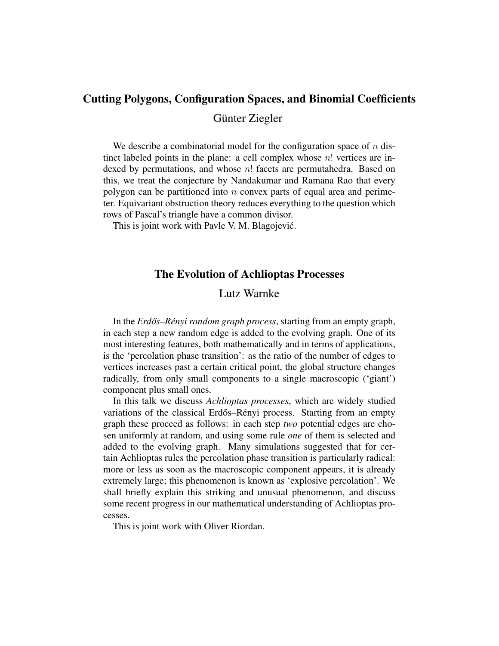#### Cutting Polygons, Configuration Spaces, and Binomial Coefficients

Günter Ziegler

We describe a combinatorial model for the configuration space of  $n$  distinct labeled points in the plane: a cell complex whose  $n!$  vertices are indexed by permutations, and whose  $n!$  facets are permutahedra. Based on this, we treat the conjecture by Nandakumar and Ramana Rao that every polygon can be partitioned into  $n$  convex parts of equal area and perimeter. Equivariant obstruction theory reduces everything to the question which rows of Pascal's triangle have a common divisor.

This is joint work with Pavle V. M. Blagojević.

#### The Evolution of Achlioptas Processes

Lutz Warnke

In the *Erdős–Rényi random graph process*, starting from an empty graph, in each step a new random edge is added to the evolving graph. One of its most interesting features, both mathematically and in terms of applications, is the 'percolation phase transition': as the ratio of the number of edges to vertices increases past a certain critical point, the global structure changes radically, from only small components to a single macroscopic ('giant') component plus small ones.

In this talk we discuss *Achlioptas processes*, which are widely studied variations of the classical Erdős–Rényi process. Starting from an empty graph these proceed as follows: in each step *two* potential edges are chosen uniformly at random, and using some rule *one* of them is selected and added to the evolving graph. Many simulations suggested that for certain Achlioptas rules the percolation phase transition is particularly radical: more or less as soon as the macroscopic component appears, it is already extremely large; this phenomenon is known as 'explosive percolation'. We shall briefly explain this striking and unusual phenomenon, and discuss some recent progress in our mathematical understanding of Achlioptas processes.

This is joint work with Oliver Riordan.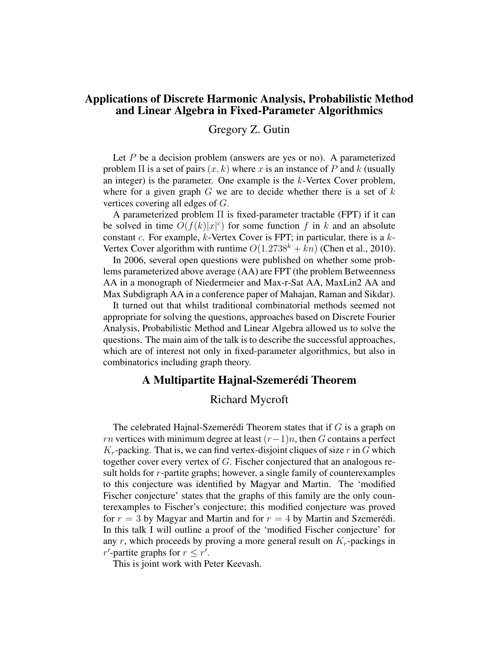# Applications of Discrete Harmonic Analysis, Probabilistic Method and Linear Algebra in Fixed-Parameter Algorithmics

Gregory Z. Gutin

Let  $P$  be a decision problem (answers are yes or no). A parameterized problem  $\Pi$  is a set of pairs  $(x, k)$  where x is an instance of P and k (usually an integer) is the parameter. One example is the  $k$ -Vertex Cover problem, where for a given graph  $G$  we are to decide whether there is a set of  $k$ vertices covering all edges of G.

A parameterized problem Π is fixed-parameter tractable (FPT) if it can be solved in time  $O(f(k)|x|^c)$  for some function f in k and an absolute constant  $c$ . For example,  $k$ -Vertex Cover is FPT; in particular, there is a  $k$ -Vertex Cover algorithm with runtime  $O(1.2738^k + kn)$  (Chen et al., 2010).

In 2006, several open questions were published on whether some problems parameterized above average (AA) are FPT (the problem Betweenness AA in a monograph of Niedermeier and Max-r-Sat AA, MaxLin2 AA and Max Subdigraph AA in a conference paper of Mahajan, Raman and Sikdar).

It turned out that whilst traditional combinatorial methods seemed not appropriate for solving the questions, approaches based on Discrete Fourier Analysis, Probabilistic Method and Linear Algebra allowed us to solve the questions. The main aim of the talk is to describe the successful approaches, which are of interest not only in fixed-parameter algorithmics, but also in combinatorics including graph theory.

#### A Multipartite Hajnal-Szemerédi Theorem

#### Richard Mycroft

The celebrated Hajnal-Szemerédi Theorem states that if G is a graph on rn vertices with minimum degree at least  $(r-1)n$ , then G contains a perfect  $K_r$ -packing. That is, we can find vertex-disjoint cliques of size r in G which together cover every vertex of G. Fischer conjectured that an analogous result holds for r-partite graphs; however, a single family of counterexamples to this conjecture was identified by Magyar and Martin. The 'modified Fischer conjecture' states that the graphs of this family are the only counterexamples to Fischer's conjecture; this modified conjecture was proved for  $r = 3$  by Magyar and Martin and for  $r = 4$  by Martin and Szemerédi. In this talk I will outline a proof of the 'modified Fischer conjecture' for any r, which proceeds by proving a more general result on  $K_r$ -packings in r'-partite graphs for  $r \leq r'$ .

This is joint work with Peter Keevash.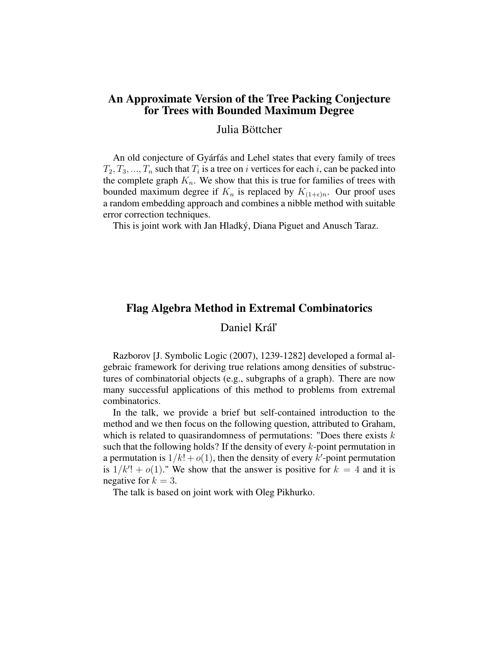## An Approximate Version of the Tree Packing Conjecture for Trees with Bounded Maximum Degree

Julia Böttcher

An old conjecture of Gyárfás and Lehel states that every family of trees  $T_2, T_3, ..., T_n$  such that  $T_i$  is a tree on i vertices for each i, can be packed into the complete graph  $K_n$ . We show that this is true for families of trees with bounded maximum degree if  $K_n$  is replaced by  $K_{(1+\epsilon)n}$ . Our proof uses a random embedding approach and combines a nibble method with suitable error correction techniques.

This is joint work with Jan Hladký, Diana Piguet and Anusch Taraz.

# Flag Algebra Method in Extremal Combinatorics

# Daniel Král'

Razborov [J. Symbolic Logic (2007), 1239-1282] developed a formal algebraic framework for deriving true relations among densities of substructures of combinatorial objects (e.g., subgraphs of a graph). There are now many successful applications of this method to problems from extremal combinatorics.

In the talk, we provide a brief but self-contained introduction to the method and we then focus on the following question, attributed to Graham, which is related to quasirandomness of permutations: "Does there exists  $k$ such that the following holds? If the density of every  $k$ -point permutation in a permutation is  $1/k! + o(1)$ , then the density of every k'-point permutation is  $1/k'$ ! +  $o(1)$ ." We show that the answer is positive for  $k = 4$  and it is negative for  $k = 3$ .

The talk is based on joint work with Oleg Pikhurko.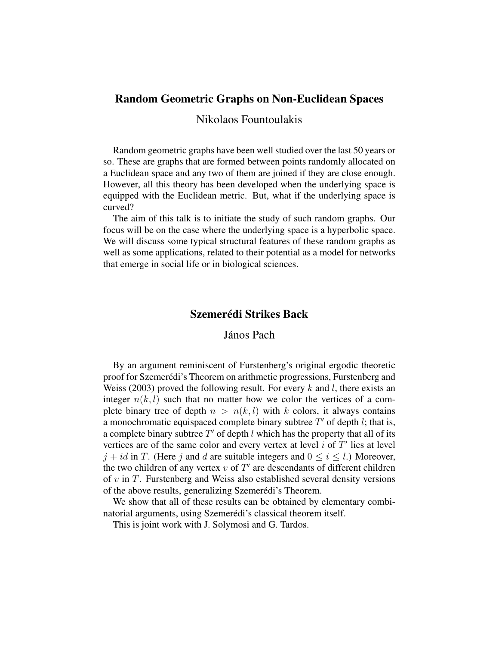# Random Geometric Graphs on Non-Euclidean Spaces

### Nikolaos Fountoulakis

Random geometric graphs have been well studied over the last 50 years or so. These are graphs that are formed between points randomly allocated on a Euclidean space and any two of them are joined if they are close enough. However, all this theory has been developed when the underlying space is equipped with the Euclidean metric. But, what if the underlying space is curved?

The aim of this talk is to initiate the study of such random graphs. Our focus will be on the case where the underlying space is a hyperbolic space. We will discuss some typical structural features of these random graphs as well as some applications, related to their potential as a model for networks that emerge in social life or in biological sciences.

# Szemerédi Strikes Back

#### János Pach

By an argument reminiscent of Furstenberg's original ergodic theoretic proof for Szemerédi's Theorem on arithmetic progressions, Furstenberg and Weiss (2003) proved the following result. For every k and l, there exists an integer  $n(k, l)$  such that no matter how we color the vertices of a complete binary tree of depth  $n > n(k, l)$  with k colors, it always contains a monochromatic equispaced complete binary subtree  $T'$  of depth l; that is, a complete binary subtree  $T'$  of depth l which has the property that all of its vertices are of the same color and every vertex at level  $i$  of  $T'$  lies at level  $j + id$  in T. (Here j and d are suitable integers and  $0 \le i \le l$ .) Moreover, the two children of any vertex  $v$  of  $T'$  are descendants of different children of  $v$  in  $T$ . Furstenberg and Weiss also established several density versions of the above results, generalizing Szemerédi's Theorem.

We show that all of these results can be obtained by elementary combinatorial arguments, using Szemerédi's classical theorem itself.

This is joint work with J. Solymosi and G. Tardos.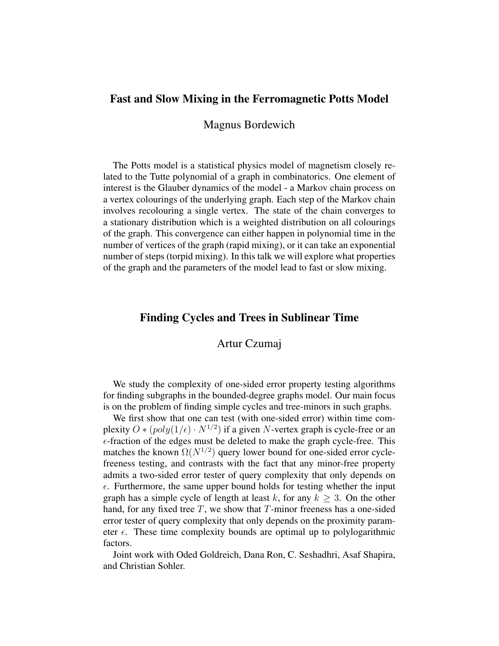# Fast and Slow Mixing in the Ferromagnetic Potts Model

Magnus Bordewich

The Potts model is a statistical physics model of magnetism closely related to the Tutte polynomial of a graph in combinatorics. One element of interest is the Glauber dynamics of the model - a Markov chain process on a vertex colourings of the underlying graph. Each step of the Markov chain involves recolouring a single vertex. The state of the chain converges to a stationary distribution which is a weighted distribution on all colourings of the graph. This convergence can either happen in polynomial time in the number of vertices of the graph (rapid mixing), or it can take an exponential number of steps (torpid mixing). In this talk we will explore what properties of the graph and the parameters of the model lead to fast or slow mixing.

#### Finding Cycles and Trees in Sublinear Time

#### Artur Czumaj

We study the complexity of one-sided error property testing algorithms for finding subgraphs in the bounded-degree graphs model. Our main focus is on the problem of finding simple cycles and tree-minors in such graphs.

We first show that one can test (with one-sided error) within time complexity  $O * (poly(1/\epsilon) \cdot N^{1/2})$  if a given N-vertex graph is cycle-free or an  $\epsilon$ -fraction of the edges must be deleted to make the graph cycle-free. This matches the known  $\Omega(N^{1/2})$  query lower bound for one-sided error cyclefreeness testing, and contrasts with the fact that any minor-free property admits a two-sided error tester of query complexity that only depends on  $\epsilon$ . Furthermore, the same upper bound holds for testing whether the input graph has a simple cycle of length at least k, for any  $k \geq 3$ . On the other hand, for any fixed tree  $T$ , we show that  $T$ -minor freeness has a one-sided error tester of query complexity that only depends on the proximity parameter  $\epsilon$ . These time complexity bounds are optimal up to polylogarithmic factors.

Joint work with Oded Goldreich, Dana Ron, C. Seshadhri, Asaf Shapira, and Christian Sohler.